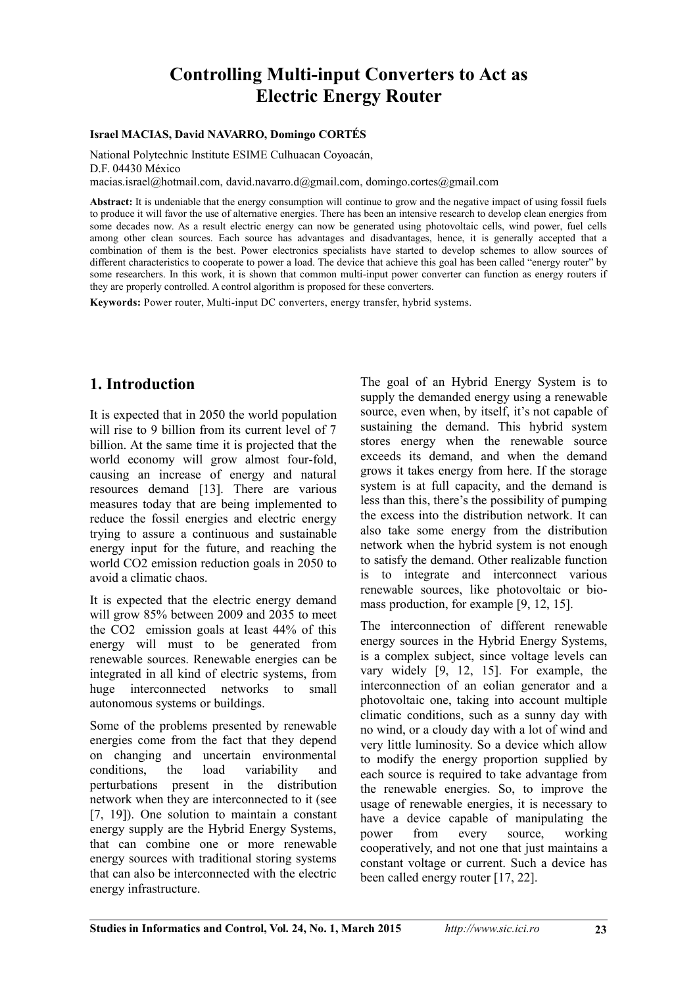# **Controlling Multi-input Converters to Act as Electric Energy Router**

#### **Israel MACIAS, David NAVARRO, Domingo CORTÉS**

National Polytechnic Institute ESIME Culhuacan Coyoacán, D.F. 04430 México macias.israel@hotmail.com, david.navarro.d@gmail.com, domingo.cortes@gmail.com

**Abstract:** It is undeniable that the energy consumption will continue to grow and the negative impact of using fossil fuels to produce it will favor the use of alternative energies. There has been an intensive research to develop clean energies from some decades now. As a result electric energy can now be generated using photovoltaic cells, wind power, fuel cells among other clean sources. Each source has advantages and disadvantages, hence, it is generally accepted that a combination of them is the best. Power electronics specialists have started to develop schemes to allow sources of different characteristics to cooperate to power a load. The device that achieve this goal has been called "energy router" by some researchers. In this work, it is shown that common multi-input power converter can function as energy routers if they are properly controlled. A control algorithm is proposed for these converters.

**Keywords:** Power router, Multi-input DC converters, energy transfer, hybrid systems.

## **1. Introduction**

It is expected that in 2050 the world population will rise to 9 billion from its current level of 7 billion. At the same time it is projected that the world economy will grow almost four-fold, causing an increase of energy and natural resources demand [13]. There are various measures today that are being implemented to reduce the fossil energies and electric energy trying to assure a continuous and sustainable energy input for the future, and reaching the world CO2 emission reduction goals in 2050 to avoid a climatic chaos.

It is expected that the electric energy demand will grow 85% between 2009 and 2035 to meet the CO2 emission goals at least 44% of this energy will must to be generated from renewable sources. Renewable energies can be integrated in all kind of electric systems, from huge interconnected networks to small autonomous systems or buildings.

Some of the problems presented by renewable energies come from the fact that they depend on changing and uncertain environmental conditions, the load variability and perturbations present in the distribution network when they are interconnected to it (see [7, 19]). One solution to maintain a constant energy supply are the Hybrid Energy Systems, that can combine one or more renewable energy sources with traditional storing systems that can also be interconnected with the electric energy infrastructure.

The goal of an Hybrid Energy System is to supply the demanded energy using a renewable source, even when, by itself, it's not capable of sustaining the demand. This hybrid system stores energy when the renewable source exceeds its demand, and when the demand grows it takes energy from here. If the storage system is at full capacity, and the demand is less than this, there's the possibility of pumping the excess into the distribution network. It can also take some energy from the distribution network when the hybrid system is not enough to satisfy the demand. Other realizable function is to integrate and interconnect various renewable sources, like photovoltaic or biomass production, for example [9, 12, 15].

The interconnection of different renewable energy sources in the Hybrid Energy Systems, is a complex subject, since voltage levels can vary widely [9, 12, 15]. For example, the interconnection of an eolian generator and a photovoltaic one, taking into account multiple climatic conditions, such as a sunny day with no wind, or a cloudy day with a lot of wind and very little luminosity. So a device which allow to modify the energy proportion supplied by each source is required to take advantage from the renewable energies. So, to improve the usage of renewable energies, it is necessary to have a device capable of manipulating the power from every source, working cooperatively, and not one that just maintains a constant voltage or current. Such a device has been called energy router [17, 22].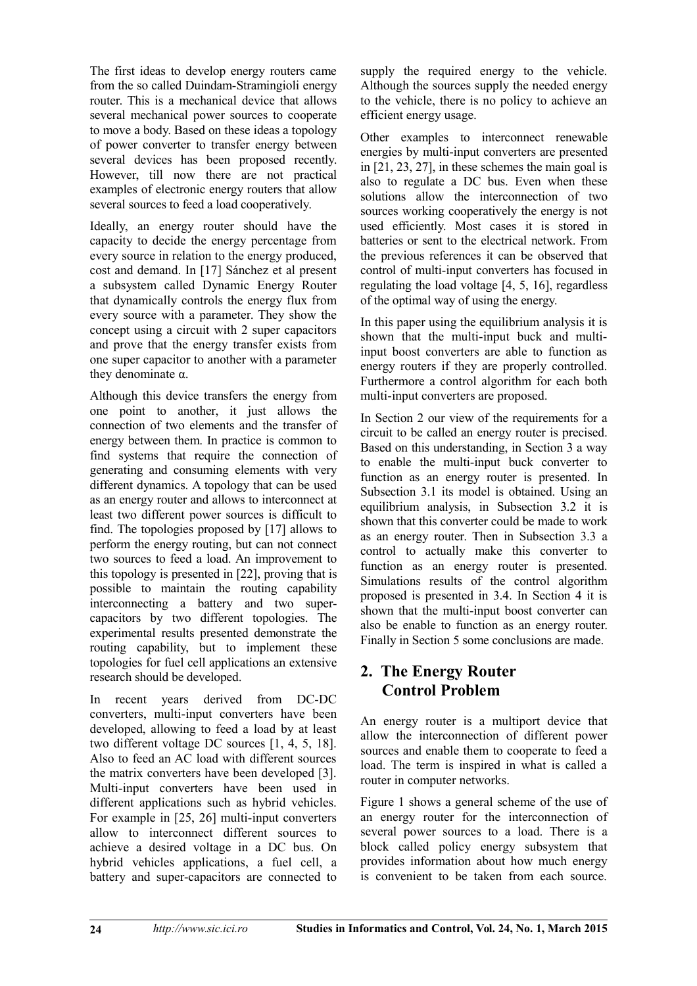The first ideas to develop energy routers came from the so called Duindam-Stramingioli energy router. This is a mechanical device that allows several mechanical power sources to cooperate to move a body. Based on these ideas a topology of power converter to transfer energy between several devices has been proposed recently. However, till now there are not practical examples of electronic energy routers that allow several sources to feed a load cooperatively.

Ideally, an energy router should have the capacity to decide the energy percentage from every source in relation to the energy produced, cost and demand. In [17] Sánchez et al present a subsystem called Dynamic Energy Router that dynamically controls the energy flux from every source with a parameter. They show the concept using a circuit with 2 super capacitors and prove that the energy transfer exists from one super capacitor to another with a parameter they denominate α.

Although this device transfers the energy from one point to another, it just allows the connection of two elements and the transfer of energy between them. In practice is common to find systems that require the connection of generating and consuming elements with very different dynamics. A topology that can be used as an energy router and allows to interconnect at least two different power sources is difficult to find. The topologies proposed by [17] allows to perform the energy routing, but can not connect two sources to feed a load. An improvement to this topology is presented in [22], proving that is possible to maintain the routing capability interconnecting a battery and two supercapacitors by two different topologies. The experimental results presented demonstrate the routing capability, but to implement these topologies for fuel cell applications an extensive research should be developed.

In recent years derived from DC-DC converters, multi-input converters have been developed, allowing to feed a load by at least two different voltage DC sources [1, 4, 5, 18]. Also to feed an AC load with different sources the matrix converters have been developed [3]. Multi-input converters have been used in different applications such as hybrid vehicles. For example in [25, 26] multi-input converters allow to interconnect different sources to achieve a desired voltage in a DC bus. On hybrid vehicles applications, a fuel cell, a battery and super-capacitors are connected to

supply the required energy to the vehicle. Although the sources supply the needed energy to the vehicle, there is no policy to achieve an efficient energy usage.

Other examples to interconnect renewable energies by multi-input converters are presented in [21, 23, 27], in these schemes the main goal is also to regulate a DC bus. Even when these solutions allow the interconnection of two sources working cooperatively the energy is not used efficiently. Most cases it is stored in batteries or sent to the electrical network. From the previous references it can be observed that control of multi-input converters has focused in regulating the load voltage [4, 5, 16], regardless of the optimal way of using the energy.

In this paper using the equilibrium analysis it is shown that the multi-input buck and multiinput boost converters are able to function as energy routers if they are properly controlled. Furthermore a control algorithm for each both multi-input converters are proposed.

In Section 2 our view of the requirements for a circuit to be called an energy router is precised. Based on this understanding, in Section 3 a way to enable the multi-input buck converter to function as an energy router is presented. In Subsection 3.1 its model is obtained. Using an equilibrium analysis, in Subsection 3.2 it is shown that this converter could be made to work as an energy router. Then in Subsection 3.3 a control to actually make this converter to function as an energy router is presented. Simulations results of the control algorithm proposed is presented in 3.4. In Section 4 it is shown that the multi-input boost converter can also be enable to function as an energy router. Finally in Section 5 some conclusions are made.

## **2. The Energy Router Control Problem**

An energy router is a multiport device that allow the interconnection of different power sources and enable them to cooperate to feed a load. The term is inspired in what is called a router in computer networks.

Figure 1 shows a general scheme of the use of an energy router for the interconnection of several power sources to a load. There is a block called policy energy subsystem that provides information about how much energy is convenient to be taken from each source.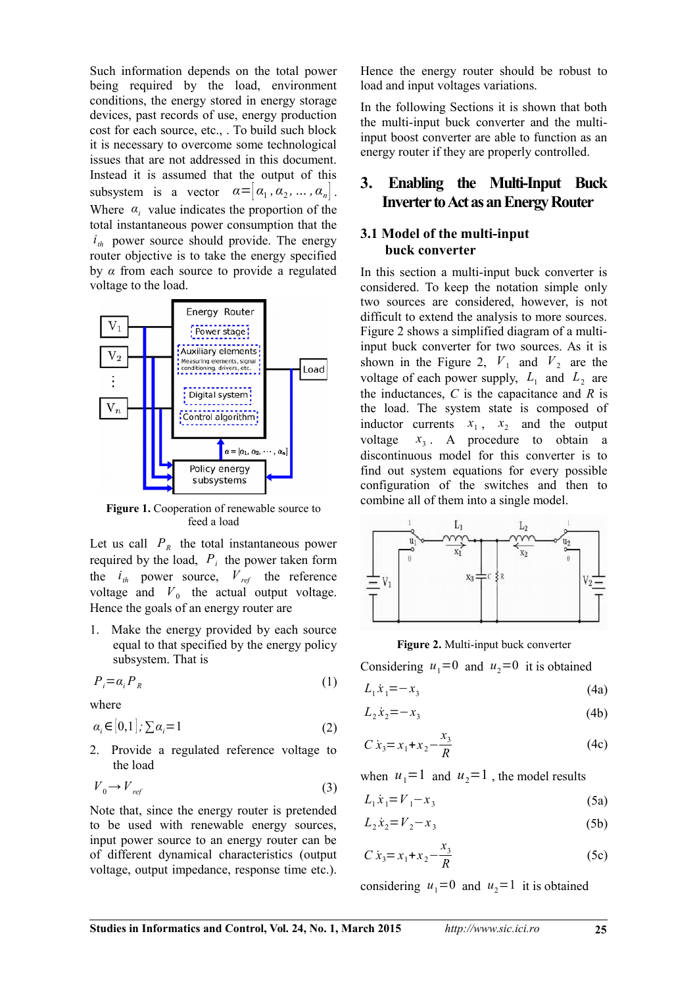Such information depends on the total power being required by the load, environment conditions, the energy stored in energy storage devices, past records of use, energy production cost for each source, etc., . To build such block it is necessary to overcome some technological issues that are not addressed in this document. Instead it is assumed that the output of this subsystem is a vector  $\alpha = [\alpha_1, \alpha_2, \dots, \alpha_n]$ . Where  $\alpha_i$  value indicates the proportion of the total instantaneous power consumption that the  $i_{th}$  power source should provide. The energy router objective is to take the energy specified by *α* from each source to provide a regulated voltage to the load.



**Figure 1.** Cooperation of renewable source to feed a load

Let us call  $P_R$  the total instantaneous power required by the load,  $P_i$  the power taken form the  $i_{th}$  power source,  $V_{ref}$  the reference voltage and  $V_0$  the actual output voltage. Hence the goals of an energy router are

1. Make the energy provided by each source equal to that specified by the energy policy subsystem. That is

$$
P_i = \alpha_i P_R \tag{1}
$$

where

$$
\alpha_i \in [0,1]; \sum \alpha_i = 1 \tag{2}
$$

2. Provide a regulated reference voltage to the load

$$
V_0 \to V_{ref} \tag{3}
$$

Note that, since the energy router is pretended to be used with renewable energy sources, input power source to an energy router can be of different dynamical characteristics (output voltage, output impedance, response time etc.).

Hence the energy router should be robust to load and input voltages variations.

In the following Sections it is shown that both the multi-input buck converter and the multiinput boost converter are able to function as an energy router if they are properly controlled.

## **3. Enabling the Multi-Input Buck Inverter to Act as an Energy Router**

### **3.1 Model of the multi-input buck converter**

In this section a multi-input buck converter is considered. To keep the notation simple only two sources are considered, however, is not difficult to extend the analysis to more sources. Figure 2 shows a simplified diagram of a multiinput buck converter for two sources. As it is shown in the Figure 2,  $V_1$  and  $V_2$  are the voltage of each power supply,  $L_1$  and  $L_2$  are the inductances, *C* is the capacitance and *R* is the load. The system state is composed of inductor currents  $x_1$ ,  $x_2$  and the output voltage *x*<sup>3</sup>  $x_3$ . A procedure to obtain a discontinuous model for this converter is to find out system equations for every possible configuration of the switches and then to combine all of them into a single model.



#### **Figure 2.** Multi-input buck converter

Considering  $u_1=0$  and  $u_2=0$  it is obtained

$$
L_1 \dot{x}_1 = -x_3 \tag{4a}
$$

$$
L_2 \dot{x}_2 = -x_3 \tag{4b}
$$

$$
C \dot{x}_3 = x_1 + x_2 - \frac{x_3}{R}
$$
 (4c)

when  $u_1=1$  and  $u_2=1$ , the model results

$$
L_1 \dot{x}_1 = V_1 - x_3 \tag{5a}
$$

$$
L_2 \dot{x}_2 = V_2 - x_3 \tag{5b}
$$

$$
C \dot{x}_3 = x_1 + x_2 - \frac{x_3}{R}
$$
 (5c)

considering  $u_1=0$  and  $u_2=1$  it is obtained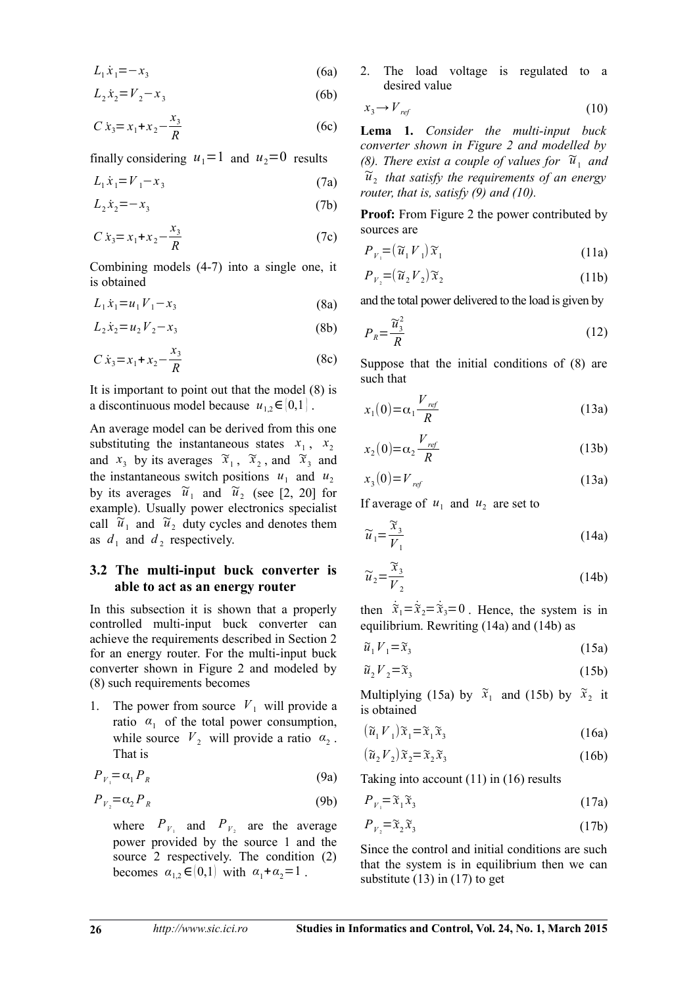$$
L_1 \dot{x}_1 = -x_3 \tag{6a}
$$

$$
L_2 \dot{x}_2 = V_2 - x_3 \tag{6b}
$$

$$
C \dot{x}_3 = x_1 + x_2 - \frac{x_3}{R}
$$
 (6c)

finally considering  $u_1=1$  and  $u_2=0$  results

$$
L_1 \dot{x}_1 = V_1 - x_3 \tag{7a}
$$

$$
L_2 \dot{x}_2 = -x_3 \tag{7b}
$$

$$
C \dot{x}_3 = x_1 + x_2 - \frac{x_3}{R}
$$
 (7c)

Combining models (4-7) into a single one, it is obtained

$$
L_1 \dot{x}_1 = u_1 V_1 - x_3 \tag{8a}
$$

$$
L_2 \dot{x}_2 = u_2 V_2 - x_3 \tag{8b}
$$

$$
C \dot{x}_3 = x_1 + x_2 - \frac{x_3}{R}
$$
 (8c)

It is important to point out that the model (8) is a discontinuous model because  $u_{1,2} \in [0,1]$ .

An average model can be derived from this one substituting the instantaneous states  $x_1$ ,  $x_2$ and  $x_3$  by its averages  $\widetilde{x}_1$ ,  $\widetilde{x}_2$ , and  $\widetilde{x}_3$  and the instantaneous switch positions  $u_1$  and  $u_2$ by its averages  $\tilde{u}_1$  and  $\tilde{u}_2$  (see [2, 20] for example). Usually power electronics specialist call  $\overline{\tilde{u}}_1$  and  $\overline{\tilde{u}}_2$  duty cycles and denotes them as  $d_1$  and  $d_2$  respectively.

### **3.2 The multi-input buck converter is able to act as an energy router**

In this subsection it is shown that a properly controlled multi-input buck converter can achieve the requirements described in Section 2 for an energy router. For the multi-input buck converter shown in Figure 2 and modeled by (8) such requirements becomes

1. The power from source  $V_1$  will provide a ratio  $\alpha_1$  of the total power consumption, while source  $V_2$  will provide a ratio  $\alpha_2$ . That is

$$
P_{V_1} = \alpha_1 P_R \tag{9a}
$$

$$
P_{V_2} = \alpha_2 P_R \tag{9b}
$$

where  $P_{V_1}$  and  $P_{V_2}$  are the average power provided by the source 1 and the source 2 respectively. The condition (2) becomes  $\alpha_{1,2} \in (0,1)$  with  $\alpha_1 + \alpha_2 = 1$ .

2. The load voltage is regulated to a desired value

$$
x_3 \to V_{ref} \tag{10}
$$

**Lema 1.** *Consider the multi-input buck converter shown in Figure 2 and modelled by (8). There exist a couple of values for*  $\widetilde{u}_1$  and  $\widetilde{u}_2$  that satisfy the requirements of an energy *router, that is, satisfy (9) and (10).*

**Proof:** From Figure 2 the power contributed by sources are

$$
P_{V_1} = (\widetilde{u}_1 V_1) \widetilde{x}_1 \tag{11a}
$$

$$
P_{V_2} = (\widetilde{u}_2 V_2) \widetilde{x}_2 \tag{11b}
$$

and the total power delivered to the load is given by

$$
P_R = \frac{\widetilde{u}_3^2}{R} \tag{12}
$$

Suppose that the initial conditions of (8) are such that

$$
x_1(0) = \alpha_1 \frac{V_{ref}}{R}
$$
 (13a)

$$
x_2(0) = \alpha_2 \frac{V_{ref}}{R}
$$
 (13b)

$$
x_3(0) = V_{ref} \tag{13a}
$$

If average of  $u_1$  and  $u_2$  are set to

$$
\widetilde{u}_1 = \frac{\widetilde{x}_3}{V_1} \tag{14a}
$$

$$
\widetilde{u}_2 = \frac{\widetilde{x}_3}{V_2} \tag{14b}
$$

then  $\dot{\tilde{x}}_1 = \dot{\tilde{x}}_2 = \dot{\tilde{x}}_3 = 0$ . Hence, the system is in equilibrium. Rewriting (14a) and (14b) as

$$
\widetilde{u}_1 V_1 = \widetilde{x}_3 \tag{15a}
$$

$$
\widetilde{u}_2 V_2 = \widetilde{x}_3 \tag{15b}
$$

Multiplying (15a) by  $\tilde{x}_1$  and (15b) by  $\tilde{x}_2$  it is obtained

$$
(\widetilde{u}_1 V_1)\widetilde{x}_1 = \widetilde{x}_1 \widetilde{x}_3 \tag{16a}
$$

$$
(\widetilde{u}_2 V_2) \widetilde{x}_2 = \widetilde{x}_2 \widetilde{x}_3 \tag{16b}
$$

Taking into account (11) in (16) results

$$
P_{V_1} = \tilde{x}_1 \tilde{x}_3 \tag{17a}
$$

$$
P_{V_2} = \tilde{x}_2 \tilde{x}_3 \tag{17b}
$$

Since the control and initial conditions are such that the system is in equilibrium then we can substitute  $(13)$  in  $(17)$  to get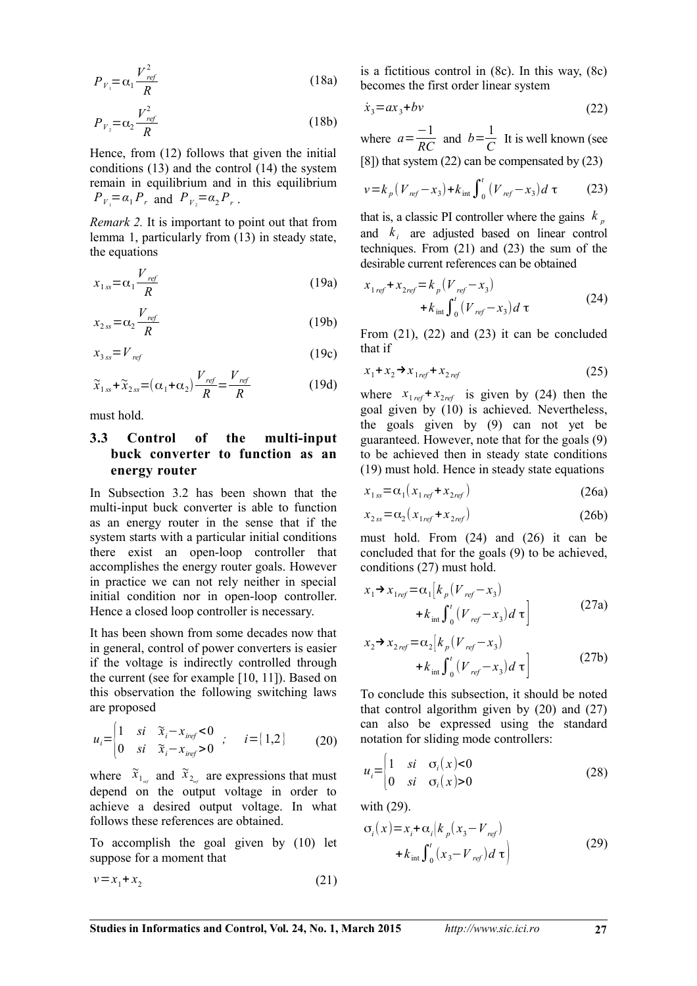$$
P_{V_1} = \alpha_1 \frac{V_{ref}^2}{R}
$$
 (18a)

$$
P_{V_2} = \alpha_2 \frac{V_{ref}^2}{R} \tag{18b}
$$

Hence, from (12) follows that given the initial conditions (13) and the control (14) the system remain in equilibrium and in this equilibrium  $P_{V_1} = \alpha_1 P_r$  and  $P_{V_2} = \alpha_2 P_r$ .

*Remark 2.* It is important to point out that from lemma 1, particularly from (13) in steady state, the equations

$$
x_{1ss} = \alpha_1 \frac{V_{ref}}{R}
$$
 (19a)

$$
x_{2ss} = \alpha_2 \frac{V_{ref}}{R}
$$
 (19b)

$$
x_{3ss} = V_{ref} \tag{19c}
$$

$$
\widetilde{x}_{1ss} + \widetilde{x}_{2ss} = (\alpha_1 + \alpha_2) \frac{V_{ref}}{R} = \frac{V_{ref}}{R}
$$
 (19d)

must hold.

### **3.3 Control of the multi-input buck converter to function as an energy router**

In Subsection 3.2 has been shown that the multi-input buck converter is able to function as an energy router in the sense that if the system starts with a particular initial conditions there exist an open-loop controller that accomplishes the energy router goals. However in practice we can not rely neither in special initial condition nor in open-loop controller. Hence a closed loop controller is necessary.

It has been shown from some decades now that in general, control of power converters is easier if the voltage is indirectly controlled through the current (see for example [10, 11]). Based on this observation the following switching laws are proposed

$$
u_i = \begin{cases} 1 & si & \tilde{x}_i - x_{iref} < 0 \\ 0 & si & \tilde{x}_i - x_{iref} > 0 \end{cases} ; \quad i = [1, 2] \quad (20)
$$

where  $\tilde{x}_{1_{n\ell}}$  and  $\tilde{x}_{2_{n\ell}}$  are expressions that must depend on the output voltage in order to achieve a desired output voltage. In what follows these references are obtained.

To accomplish the goal given by (10) let suppose for a moment that

$$
v = x_1 + x_2 \tag{21}
$$

is a fictitious control in  $(8c)$ . In this way,  $(8c)$ becomes the first order linear system

$$
\dot{x}_3 = ax_3 + bv \tag{22}
$$

where  $a = \frac{-1}{RC}$  and  $b = \frac{1}{C}$  $\frac{1}{C}$  It is well known (see [8]) that system (22) can be compensated by (23)

$$
v = k_p (V_{ref} - x_3) + k_{int} \int_0^t (V_{ref} - x_3) d\tau
$$
 (23)

that is, a classic PI controller where the gains  $k_p$ and  $k_i$  are adjusted based on linear control techniques. From (21) and (23) the sum of the desirable current references can be obtained

$$
x_{1ref} + x_{2ref} = k_p (V_{ref} - x_3)
$$
  
+  $k_{int} \int_0^t (V_{ref} - x_3) d\tau$  (24)

From (21), (22) and (23) it can be concluded that if

$$
x_1 + x_2 \rightarrow x_{1ref} + x_{2ref} \tag{25}
$$

where  $x_{1ref} + x_{2ref}$  is given by (24) then the goal given by (10) is achieved. Nevertheless, the goals given by (9) can not yet be guaranteed. However, note that for the goals (9) to be achieved then in steady state conditions (19) must hold. Hence in steady state equations

$$
x_{1ss} = \alpha_1 \left( x_{1\,ref} + x_{2\,ref} \right) \tag{26a}
$$

$$
x_{2ss} = \alpha_2 \left( x_{1ref} + x_{2ref} \right) \tag{26b}
$$

must hold. From (24) and (26) it can be concluded that for the goals (9) to be achieved, conditions (27) must hold.

$$
x_1 \rightarrow x_{1ref} = \alpha_1 [k_p (V_{ref} - x_3)
$$
  
+  $k_{int} \int_0^t (V_{ref} - x_3) d\tau$  (27a)

$$
x_2 \rightarrow x_{2ref} = \alpha_2 [k_p (V_{ref} - x_3)
$$
  
+  $k_{int} \int_0^t (V_{ref} - x_3) d\tau ]$  (27b)

To conclude this subsection, it should be noted that control algorithm given by (20) and (27) can also be expressed using the standard notation for sliding mode controllers:

$$
u_i = \begin{cases} 1 & si & \sigma_i(x) < 0 \\ 0 & si & \sigma_i(x) > 0 \end{cases}
$$
 (28)

with (29).

$$
\sigma_i(x) = x_i + \alpha_i \left( k_p(x_3 - V_{ref}) + k_{int} \int_0^t (x_3 - V_{ref}) d\tau \right)
$$
\n(29)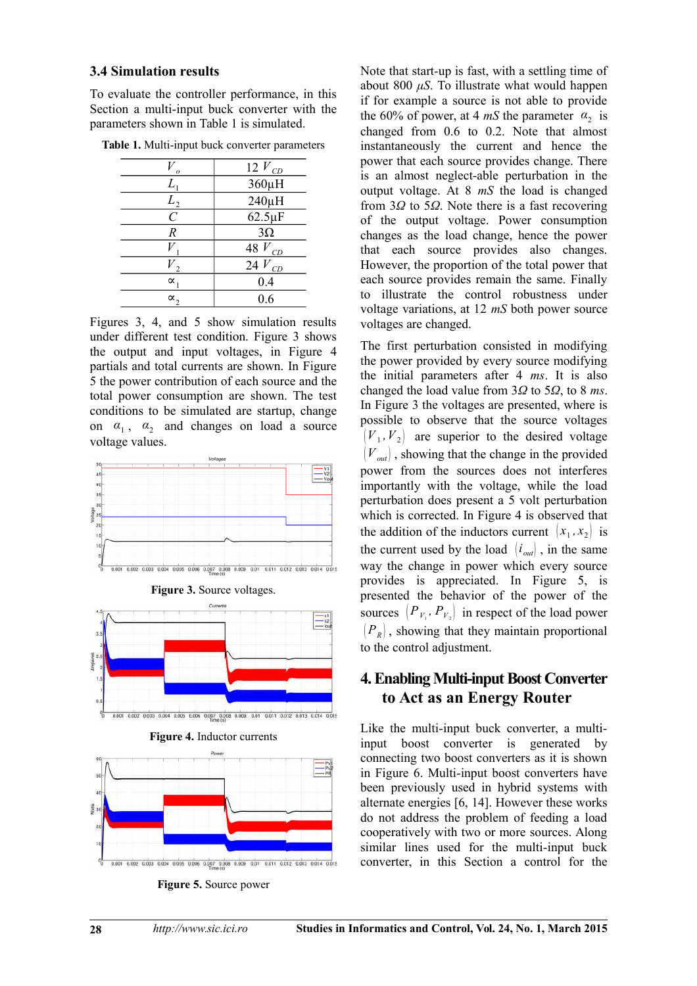#### **3.4 Simulation results**

To evaluate the controller performance, in this Section a multi-input buck converter with the parameters shown in Table 1 is simulated.

| Ω                | 12 $V_{CD}$  |
|------------------|--------------|
| L,               | 360µH        |
| $L_{2}$          | 240µH        |
| $\overline{C}$   | $62.5 \mu F$ |
| $\boldsymbol{R}$ | $3\Omega$    |
|                  | 48 $V_{CD}$  |
|                  | $24 V_{CD}$  |
| $\propto$        | 0.4          |
| $\alpha$         | 0.6          |
|                  |              |

**Table 1.** Multi-input buck converter parameters

Figures 3, 4, and 5 show simulation results under different test condition. Figure 3 shows the output and input voltages, in Figure 4 partials and total currents are shown. In Figure 5 the power contribution of each source and the total power consumption are shown. The test conditions to be simulated are startup, change on  $\alpha_1$ ,  $\alpha_2$  and changes on load a source voltage values.



**Figure 3. Source voltages.** 









Note that start-up is fast, with a settling time of about 800 *μS*. To illustrate what would happen if for example a source is not able to provide the 60% of power, at 4 *mS* the parameter  $\alpha_2$  is changed from 0.6 to 0.2. Note that almost instantaneously the current and hence the power that each source provides change. There is an almost neglect-able perturbation in the output voltage. At 8 *mS* the load is changed from 3*Ω* to 5*Ω*. Note there is a fast recovering of the output voltage. Power consumption changes as the load change, hence the power that each source provides also changes. However, the proportion of the total power that each source provides remain the same. Finally to illustrate the control robustness under voltage variations, at 12 *mS* both power source voltages are changed.

The first perturbation consisted in modifying the power provided by every source modifying the initial parameters after 4 *ms*. It is also changed the load value from 3*Ω* to 5*Ω*, to 8 *ms*. In Figure 3 the voltages are presented, where is possible to observe that the source voltages  $(V_1, V_2)$  are superior to the desired voltage  $(V<sub>out</sub>)$ , showing that the change in the provided power from the sources does not interferes importantly with the voltage, while the load perturbation does present a 5 volt perturbation which is corrected. In Figure 4 is observed that the addition of the inductors current  $(x_1, x_2)$  is the current used by the load  $\langle i_{out} \rangle$ , in the same way the change in power which every source provides is appreciated. In Figure 5, is presented the behavior of the power of the sources  $(P_{V_1}, P_{V_2})$  in respect of the load power  $(P_R)$ , showing that they maintain proportional to the control adjustment.

## **4. Enabling Multi-input Boost Converter to Act as an Energy Router**

Like the multi-input buck converter, a multiinput boost converter is generated by connecting two boost converters as it is shown in Figure 6. Multi-input boost converters have been previously used in hybrid systems with alternate energies [6, 14]. However these works do not address the problem of feeding a load cooperatively with two or more sources. Along similar lines used for the multi-input buck converter, in this Section a control for the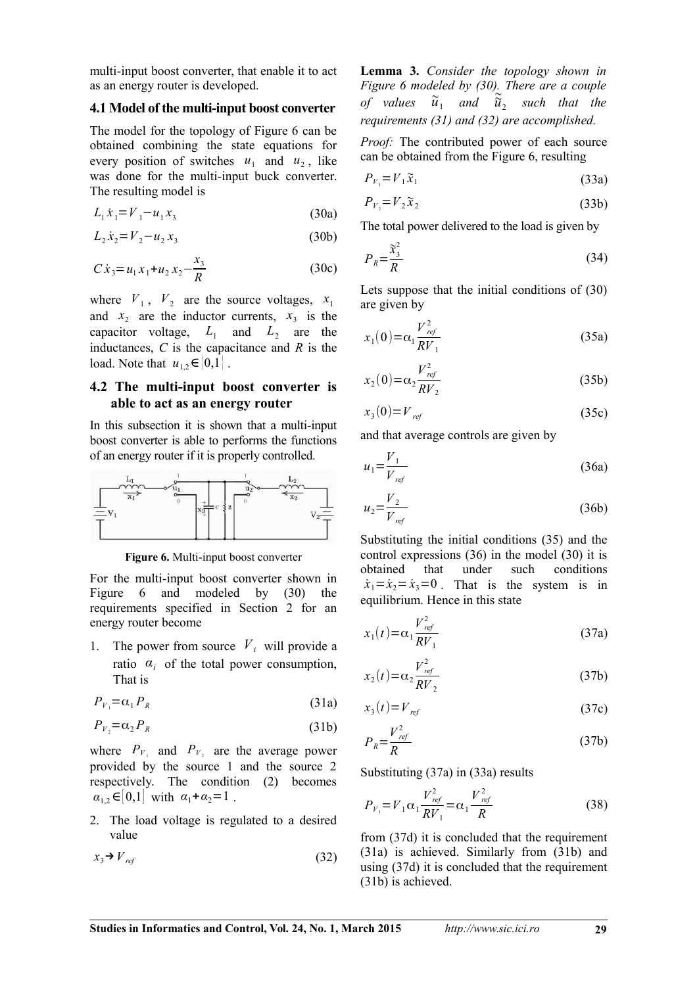multi-input boost converter, that enable it to act as an energy router is developed.

#### **4.1 Model of the multi-input boost converter**

The model for the topology of Figure 6 can be obtained combining the state equations for every position of switches  $u_1$  and  $u_2$ , like was done for the multi-input buck converter. The resulting model is

$$
L_1 \dot{x}_1 = V_1 - u_1 x_3 \tag{30a}
$$

$$
L_2 \dot{x}_2 = V_2 - u_2 x_3 \tag{30b}
$$

$$
C\dot{x}_3 = u_1 x_1 + u_2 x_2 - \frac{x_3}{R}
$$
 (30c)

where  $V_1$ ,  $V_2$  are the source voltages,  $x_1$ and  $x_2$  are the inductor currents,  $x_3$  is the capacitor voltage,  $L_1$  and  $L_2$  are the inductances, *C* is the capacitance and *R* is the load. Note that  $u_{12} \in [0,1]$ .

### **4.2 The multi-input boost converter is able to act as an energy router**

In this subsection it is shown that a multi-input boost converter is able to performs the functions of an energy router if it is properly controlled.



**Figure 6.** Multi-input boost converter

For the multi-input boost converter shown in Figure 6 and modeled by (30) the requirements specified in Section 2 for an energy router become

1. The power from source  $V_i$  will provide a ratio  $\alpha_i$  of the total power consumption, That is

$$
P_{V_1} = \alpha_1 P_R \tag{31a}
$$

$$
P_{V_2} = \alpha_2 P_R \tag{31b}
$$

where  $P_{V_1}$  and  $P_{V_2}$  are the average power provided by the source 1 and the source 2 respectively. The condition (2) becomes  $a_{1,2} \in ]0,1]$  with  $a_1 + a_2 = 1$ .

2. The load voltage is regulated to a desired value

$$
x_3 \rightarrow V_{ref} \tag{32}
$$

**Lemma 3.** *Consider the topology shown in Figure 6 modeled by (30). There are a couple* of values  $\tilde{u}_1$  and  $\tilde{\tilde{u}}_2$  such that the *requirements (31) and (32) are accomplished.*

*Proof:* The contributed power of each source can be obtained from the Figure 6, resulting

$$
P_{V_1} = V_1 \widetilde{x}_1 \tag{33a}
$$

$$
P_{V_2} = V_2 \widetilde{x}_2 \tag{33b}
$$

The total power delivered to the load is given by

$$
P_R = \frac{\widetilde{x}_3^2}{R} \tag{34}
$$

Lets suppose that the initial conditions of (30) are given by

$$
x_1(0) = \alpha_1 \frac{V_{ref}^2}{RV_1}
$$
 (35a)

$$
x_2(0) = \alpha_2 \frac{V_{ref}^2}{RV_2}
$$
 (35b)

$$
x_3(0) = V_{ref} \tag{35c}
$$

and that average controls are given by

$$
u_1 = \frac{V_1}{V_{ref}}\tag{36a}
$$

$$
u_2 = \frac{V_2}{V_{ref}}\tag{36b}
$$

Substituting the initial conditions (35) and the control expressions (36) in the model (30) it is<br>obtained that under such conditions obtained that under such conditions  $\dot{x}_1 = \dot{x}_2 = \dot{x}_3 = 0$ . That is the system is in equilibrium. Hence in this state

$$
x_1(t) = \alpha_1 \frac{V_{ref}^2}{RV_1}
$$
 (37a)

$$
x_2(t) = \alpha_2 \frac{V_{ref}^2}{RV_2}
$$
 (37b)

$$
x_3(t) = V_{ref} \tag{37c}
$$

$$
P_R = \frac{V_{ref}^2}{R} \tag{37b}
$$

Substituting (37a) in (33a) results

$$
P_{V_1} = V_1 \alpha_1 \frac{V_{ref}^2}{RV_1} = \alpha_1 \frac{V_{ref}^2}{R}
$$
 (38)

from (37d) it is concluded that the requirement (31a) is achieved. Similarly from (31b) and using (37d) it is concluded that the requirement (31b) is achieved.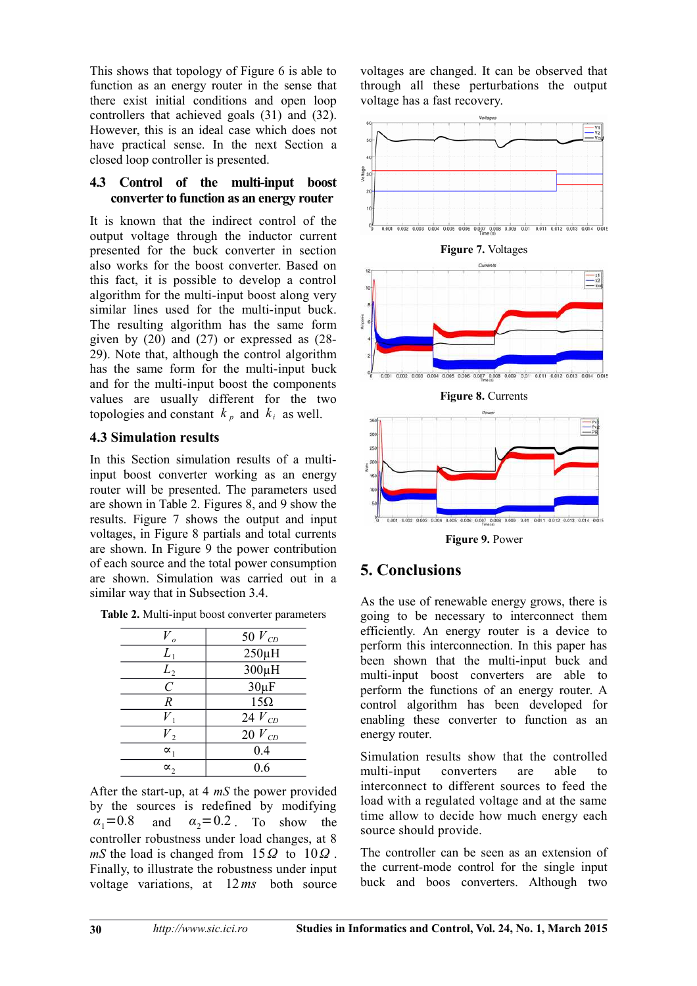This shows that topology of Figure 6 is able to function as an energy router in the sense that there exist initial conditions and open loop controllers that achieved goals (31) and (32). However, this is an ideal case which does not have practical sense. In the next Section a closed loop controller is presented.

### **4.3 Control of the multi-input boost converter to function as an energy router**

It is known that the indirect control of the output voltage through the inductor current presented for the buck converter in section also works for the boost converter. Based on this fact, it is possible to develop a control algorithm for the multi-input boost along very similar lines used for the multi-input buck. The resulting algorithm has the same form given by  $(20)$  and  $(27)$  or expressed as  $(28-)$ 29). Note that, although the control algorithm has the same form for the multi-input buck and for the multi-input boost the components values are usually different for the two topologies and constant  $k_p$  and  $k_i$  as well.

### **4.3 Simulation results**

In this Section simulation results of a multiinput boost converter working as an energy router will be presented. The parameters used are shown in Table 2. Figures 8, and 9 show the results. Figure 7 shows the output and input voltages, in Figure 8 partials and total currents are shown. In Figure 9 the power contribution of each source and the total power consumption are shown. Simulation was carried out in a similar way that in Subsection 3.4.

|                       | 50 $V_{CD}$ |
|-----------------------|-------------|
| $L_1$                 | $250\mu H$  |
| L <sub>2</sub>        | $300\mu H$  |
| $\mathcal{C}_{0}^{0}$ | $30\mu F$   |
| $\boldsymbol{R}$      | $15\Omega$  |
|                       | 24 $V_{CD}$ |
| $\overline{V}_2$      | $20 V_{CD}$ |
| $\alpha_{1}$          | 0.4         |
| $\alpha$ ,            | 0.6         |

After the start-up, at 4 *mS* the power provided by the sources is redefined by modifying  $\alpha_1 = 0.8$  and  $\alpha_2 = 0.2$  To show the controller robustness under load changes, at 8 *mS* the load is changed from  $15Q$  to  $10Q$ . Finally, to illustrate the robustness under input voltage variations, at 12*ms* both source

voltages are changed. It can be observed that through all these perturbations the output voltage has a fast recovery.





**Figure 9.** Power

## **5. Conclusions**

As the use of renewable energy grows, there is going to be necessary to interconnect them efficiently. An energy router is a device to perform this interconnection. In this paper has been shown that the multi-input buck and multi-input boost converters are able to perform the functions of an energy router. A control algorithm has been developed for enabling these converter to function as an energy router.

Simulation results show that the controlled multi-input converters are able to interconnect to different sources to feed the load with a regulated voltage and at the same time allow to decide how much energy each source should provide.

The controller can be seen as an extension of the current-mode control for the single input buck and boos converters. Although two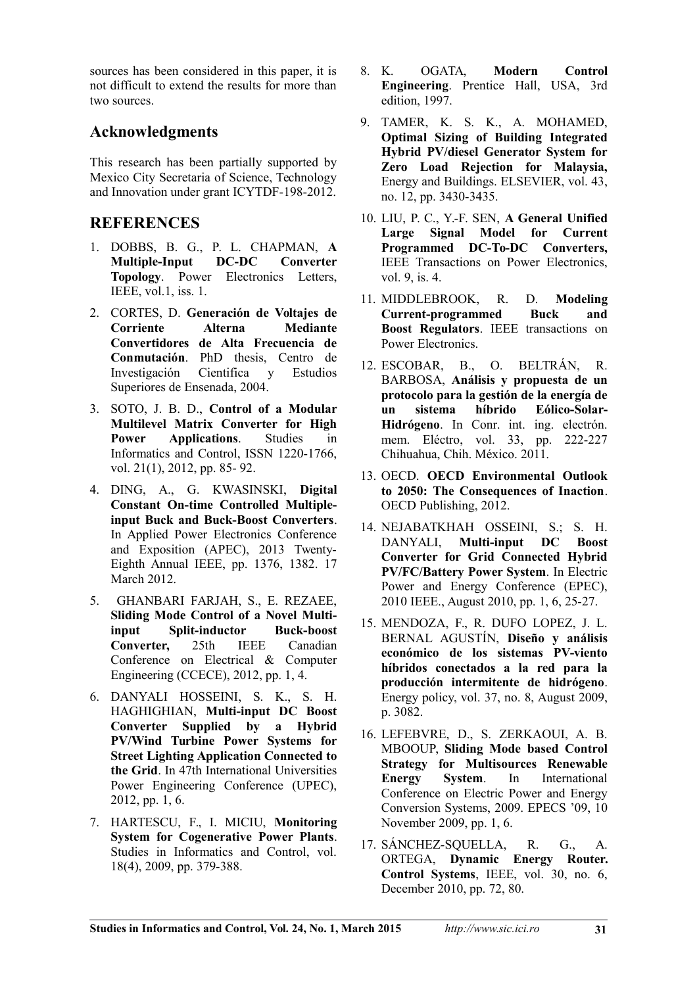sources has been considered in this paper, it is not difficult to extend the results for more than two sources.

## **Acknowledgments**

This research has been partially supported by Mexico City Secretaria of Science, Technology and Innovation under grant ICYTDF-198-2012.

## **REFERENCES**

- 1. DOBBS, B. G., P. L. CHAPMAN, **A Multiple-Input DC-DC Converter Topology**. Power Electronics Letters, IEEE, vol.1, iss. 1.
- 2. CORTES, D. **Generación de Voltajes de Corriente Alterna Mediante Convertidores de Alta Frecuencia de Conmutación**. PhD thesis, Centro de Investigación Cientifica y Estudios Superiores de Ensenada, 2004.
- 3. SOTO, J. B. D., **Control of a Modular Multilevel Matrix Converter for High Power Applications**. Studies in Informatics and Control, ISSN 1220-1766, vol. 21(1), 2012, pp. 85- 92.
- 4. DING, A., G. KWASINSKI, **Digital Constant On-time Controlled Multipleinput Buck and Buck-Boost Converters**. In Applied Power Electronics Conference and Exposition (APEC), 2013 Twenty-Eighth Annual IEEE, pp. 1376, 1382. 17 March 2012.
- 5. GHANBARI FARJAH, S., E. REZAEE, **Sliding Mode Control of a Novel Multiinput Split-inductor Buck-boost Converter,** 25th IEEE Canadian Conference on Electrical & Computer Engineering (CCECE), 2012, pp. 1, 4.
- 6. DANYALI HOSSEINI, S. K., S. H. HAGHIGHIAN, **Multi-input DC Boost Converter Supplied by a Hybrid PV/Wind Turbine Power Systems for Street Lighting Application Connected to the Grid**. In 47th International Universities Power Engineering Conference (UPEC), 2012, pp. 1, 6.
- 7. HARTESCU, F., I. MICIU, **Monitoring System for Cogenerative Power Plants**. Studies in Informatics and Control, vol. 18(4), 2009, pp. 379-388.
- 8. K. OGATA, **Modern Control Engineering**. Prentice Hall, USA, 3rd edition, 1997.
- 9. TAMER, K. S. K., A. MOHAMED, **Optimal Sizing of Building Integrated Hybrid PV/diesel Generator System for Zero Load Rejection for Malaysia,** Energy and Buildings. ELSEVIER, vol. 43, no. 12, pp. 3430-3435.
- 10. LIU, P. C., Y.-F. SEN, **A General Unified Large Signal Model for Current Programmed DC-To-DC Converters,** IEEE Transactions on Power Electronics, vol. 9, is. 4.
- 11. MIDDLEBROOK, R. D. **Modeling Current-programmed Buck and Boost Regulators**. IEEE transactions on Power Electronics.
- 12. ESCOBAR, B., O. BELTRÁN, R. BARBOSA, **Análisis y propuesta de un protocolo para la gestión de la energía de un sistema híbrido Eólico-Solar-Hidrógeno**. In Conr. int. ing. electrón. mem. Eléctro, vol. 33, pp. 222-227 Chihuahua, Chih. México. 2011.
- 13. OECD. **OECD Environmental Outlook to 2050: The Consequences of Inaction**. OECD Publishing, 2012.
- 14. NEJABATKHAH OSSEINI, S.; S. H. DANYALI, **Multi-input DC Boost Converter for Grid Connected Hybrid PV/FC/Battery Power System**. In Electric Power and Energy Conference (EPEC), 2010 IEEE., August 2010, pp. 1, 6, 25-27.
- 15. MENDOZA, F., R. DUFO LOPEZ, J. L. BERNAL AGUSTÍN, **Diseño y análisis económico de los sistemas PV-viento híbridos conectados a la red para la producción intermitente de hidrógeno**. Energy policy, vol. 37, no. 8, August 2009, p. 3082.
- 16. LEFEBVRE, D., S. ZERKAOUI, A. B. MBOOUP, **Sliding Mode based Control Strategy for Multisources Renewable Energy System**. In International Conference on Electric Power and Energy Conversion Systems, 2009. EPECS '09, 10 November 2009, pp. 1, 6.
- 17. SÁNCHEZ-SQUELLA, R. G., A. ORTEGA, **Dynamic Energy Router. Control Systems**, IEEE, vol. 30, no. 6, December 2010, pp. 72, 80.